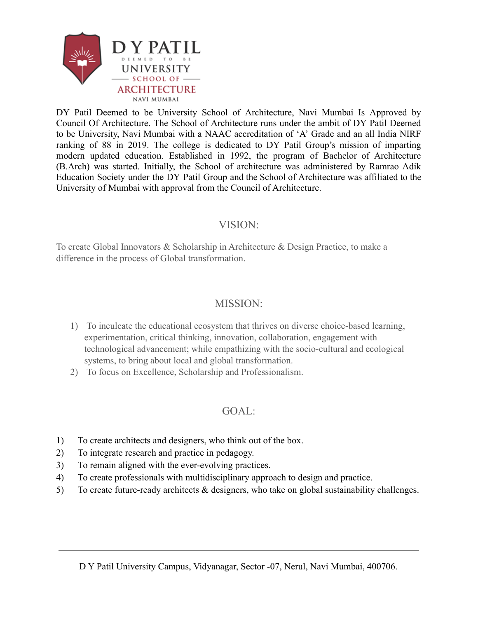

DY Patil Deemed to be University School of Architecture, Navi Mumbai Is Approved by Council Of Architecture. The School of Architecture runs under the ambit of DY Patil Deemed to be University, Navi Mumbai with a NAAC accreditation of 'A' Grade and an all India NIRF ranking of 88 in 2019. The college is dedicated to DY Patil Group's mission of imparting modern updated education. Established in 1992, the program of Bachelor of Architecture (B.Arch) was started. Initially, the School of architecture was administered by Ramrao Adik Education Society under the DY Patil Group and the School of Architecture was affiliated to the University of Mumbai with approval from the Council of Architecture.

#### VISION:

To create Global Innovators & Scholarship in Architecture & Design Practice, to make a difference in the process of Global transformation.

## MISSION:

- 1) To inculcate the educational ecosystem that thrives on diverse choice-based learning, experimentation, critical thinking, innovation, collaboration, engagement with technological advancement; while empathizing with the socio-cultural and ecological systems, to bring about local and global transformation.
- 2) To focus on Excellence, Scholarship and Professionalism.

## GOAL:

- 1) To create architects and designers, who think out of the box.
- 2) To integrate research and practice in pedagogy.
- 3) To remain aligned with the ever-evolving practices.
- 4) To create professionals with multidisciplinary approach to design and practice.
- 5) To create future-ready architects & designers, who take on global sustainability challenges.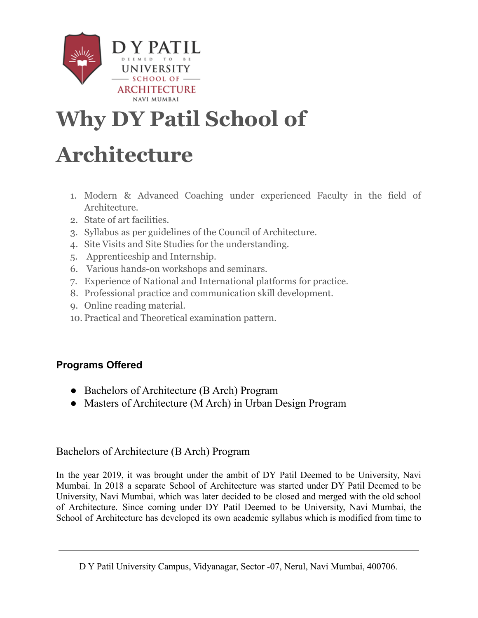

# **Why DY Patil School of**

# **Architecture**

- 1. Modern & Advanced Coaching under experienced Faculty in the field of Architecture.
- 2. State of art facilities.
- 3. Syllabus as per guidelines of the Council of Architecture.
- 4. Site Visits and Site Studies for the understanding.
- 5. Apprenticeship and Internship.
- 6. Various hands-on workshops and seminars.
- 7. Experience of National and International platforms for practice.
- 8. Professional practice and communication skill development.
- 9. Online reading material.
- 10. Practical and Theoretical examination pattern.

## **Programs Offered**

- Bachelors of Architecture (B Arch) Program
- Masters of Architecture (M Arch) in Urban Design Program

## Bachelors of Architecture (B Arch) Program

In the year 2019, it was brought under the ambit of DY Patil Deemed to be University, Navi Mumbai. In 2018 a separate School of Architecture was started under DY Patil Deemed to be University, Navi Mumbai, which was later decided to be closed and merged with the old school of Architecture. Since coming under DY Patil Deemed to be University, Navi Mumbai, the School of Architecture has developed its own academic syllabus which is modified from time to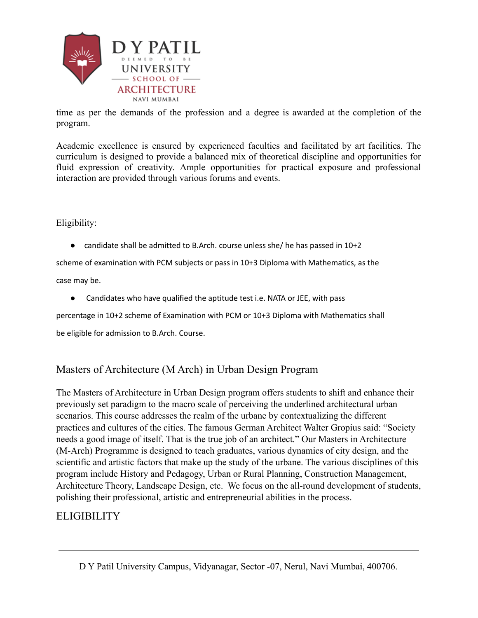

time as per the demands of the profession and a degree is awarded at the completion of the program.

Academic excellence is ensured by experienced faculties and facilitated by art facilities. The curriculum is designed to provide a balanced mix of theoretical discipline and opportunities for fluid expression of creativity. Ample opportunities for practical exposure and professional interaction are provided through various forums and events.

#### Eligibility:

• candidate shall be admitted to B.Arch. course unless she/ he has passed in  $10+2$ 

scheme of examination with PCM subjects or pass in 10+3 Diploma with Mathematics, as the

case may be.

● Candidates who have qualified the aptitude test i.e. NATA or JEE, with pass

percentage in 10+2 scheme of Examination with PCM or 10+3 Diploma with Mathematics shall

be eligible for admission to B.Arch. Course.

#### Masters of Architecture (M Arch) in Urban Design Program

The Masters of Architecture in Urban Design program offers students to shift and enhance their previously set paradigm to the macro scale of perceiving the underlined architectural urban scenarios. This course addresses the realm of the urbane by contextualizing the different practices and cultures of the cities. The famous German Architect Walter Gropius said: "Society needs a good image of itself. That is the true job of an architect." Our Masters in Architecture (M-Arch) Programme is designed to teach graduates, various dynamics of city design, and the scientific and artistic factors that make up the study of the urbane. The various disciplines of this program include History and Pedagogy, Urban or Rural Planning, Construction Management, Architecture Theory, Landscape Design, etc. We focus on the all-round development of students, polishing their professional, artistic and entrepreneurial abilities in the process.

## **ELIGIBILITY**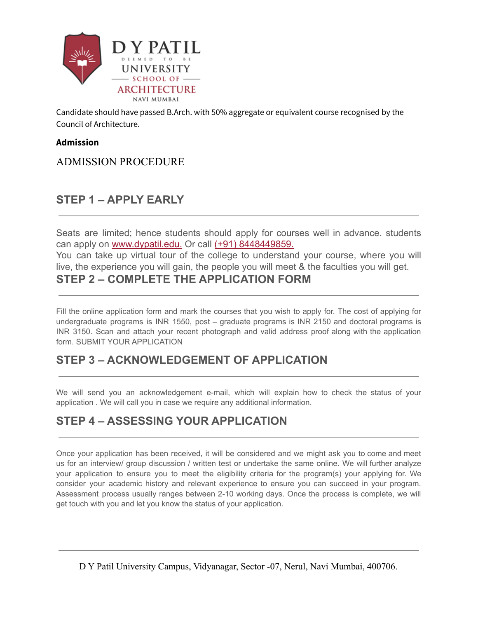

Candidate should have passed B.Arch. with 50% aggregate or equivalent course recognised by the Council of Architecture.

#### **Admission**

## ADMISSION PROCEDURE

## **STEP 1 – APPLY EARLY**

Seats are limited; hence students should apply for courses well in advance. students can apply on [www.dypatil.edu.](http://dypatiluniversityshts.com/others/rait/admission/www.dypatil.edu) Or call [\(+91\) 8448449859.](tel:+918448449859)

You can take up virtual tour of the college to understand your course, where you will live, the experience you will gain, the people you will meet & the faculties you will get.

### **STEP 2 – COMPLETE THE APPLICATION FORM**

Fill the online application form and mark the courses that you wish to apply for. The cost of applying for undergraduate programs is INR 1550, post – graduate programs is INR 2150 and doctoral programs is INR 3150. Scan and attach your recent photograph and valid address proof along with the application form. SUBMIT YOUR APPLICATION

## **STEP 3 – ACKNOWLEDGEMENT OF APPLICATION**

We will send you an acknowledgement e-mail, which will explain how to check the status of your application . We will call you in case we require any additional information.

## **STEP 4 – ASSESSING YOUR APPLICATION**

Once your application has been received, it will be considered and we might ask you to come and meet us for an interview/ group discussion / written test or undertake the same online. We will further analyze your application to ensure you to meet the eligibility criteria for the program(s) your applying for. We consider your academic history and relevant experience to ensure you can succeed in your program. Assessment process usually ranges between 2-10 working days. Once the process is complete, we will get touch with you and let you know the status of your application.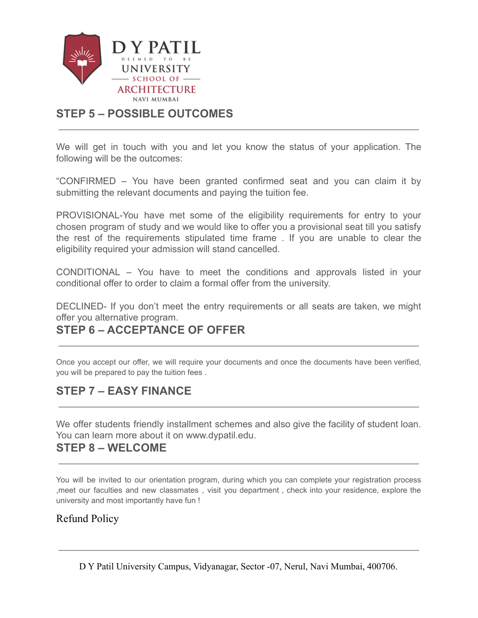

## **STEP 5 – POSSIBLE OUTCOMES**

We will get in touch with you and let you know the status of your application. The following will be the outcomes:

"CONFIRMED – You have been granted confirmed seat and you can claim it by submitting the relevant documents and paying the tuition fee.

PROVISIONAL-You have met some of the eligibility requirements for entry to your chosen program of study and we would like to offer you a provisional seat till you satisfy the rest of the requirements stipulated time frame . If you are unable to clear the eligibility required your admission will stand cancelled.

CONDITIONAL – You have to meet the conditions and approvals listed in your conditional offer to order to claim a formal offer from the university.

DECLINED- If you don't meet the entry requirements or all seats are taken, we might offer you alternative program.

## **STEP 6 – ACCEPTANCE OF OFFER**

Once you accept our offer, we will require your documents and once the documents have been verified, you will be prepared to pay the tuition fees .

## **STEP 7 – EASY FINANCE**

We offer students friendly installment schemes and also give the facility of student loan. You can learn more about it on www.dypatil.edu.

## **STEP 8 – WELCOME**

You will be invited to our orientation program, during which you can complete your registration process ,meet our faculties and new classmates , visit you department , check into your residence, explore the university and most importantly have fun !

#### Refund Policy

D Y Patil University Campus, Vidyanagar, Sector -07, Nerul, Navi Mumbai, 400706.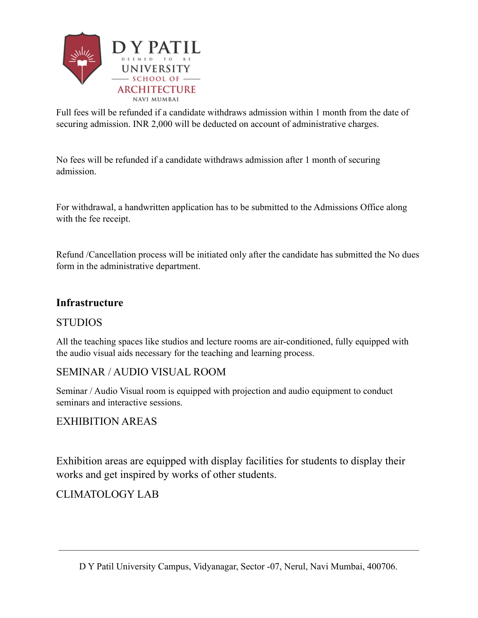

Full fees will be refunded if a candidate withdraws admission within 1 month from the date of securing admission. INR 2,000 will be deducted on account of administrative charges.

No fees will be refunded if a candidate withdraws admission after 1 month of securing admission.

For withdrawal, a handwritten application has to be submitted to the Admissions Office along with the fee receipt.

Refund /Cancellation process will be initiated only after the candidate has submitted the No dues form in the administrative department.

#### **Infrastructure**

#### **STUDIOS**

All the teaching spaces like studios and lecture rooms are air-conditioned, fully equipped with the audio visual aids necessary for the teaching and learning process.

#### SEMINAR / AUDIO VISUAL ROOM

Seminar / Audio Visual room is equipped with projection and audio equipment to conduct seminars and interactive sessions.

## EXHIBITION AREAS

Exhibition areas are equipped with display facilities for students to display their works and get inspired by works of other students.

## CLIMATOLOGY LAB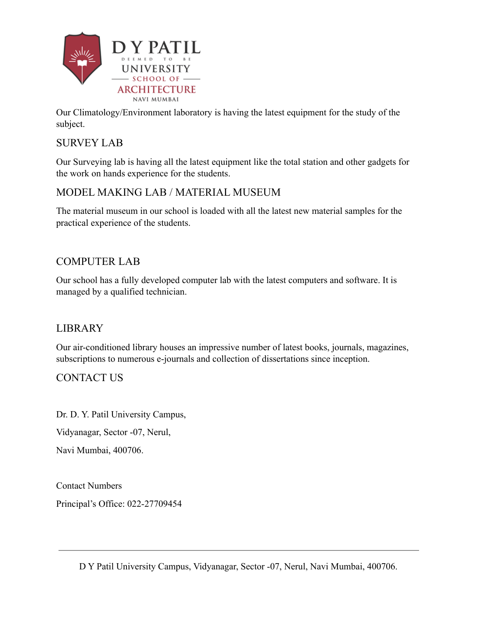

Our Climatology/Environment laboratory is having the latest equipment for the study of the subject.

## SURVEY LAB

Our Surveying lab is having all the latest equipment like the total station and other gadgets for the work on hands experience for the students.

## MODEL MAKING LAB / MATERIAL MUSEUM

The material museum in our school is loaded with all the latest new material samples for the practical experience of the students.

## COMPUTER LAB

Our school has a fully developed computer lab with the latest computers and software. It is managed by a qualified technician.

## LIBRARY

Our air-conditioned library houses an impressive number of latest books, journals, magazines, subscriptions to numerous e-journals and collection of dissertations since inception.

## CONTACT US

Dr. D. Y. Patil University Campus,

Vidyanagar, Sector -07, Nerul,

Navi Mumbai, 400706.

Contact Numbers Principal's Office: 022-27709454

D Y Patil University Campus, Vidyanagar, Sector -07, Nerul, Navi Mumbai, 400706.